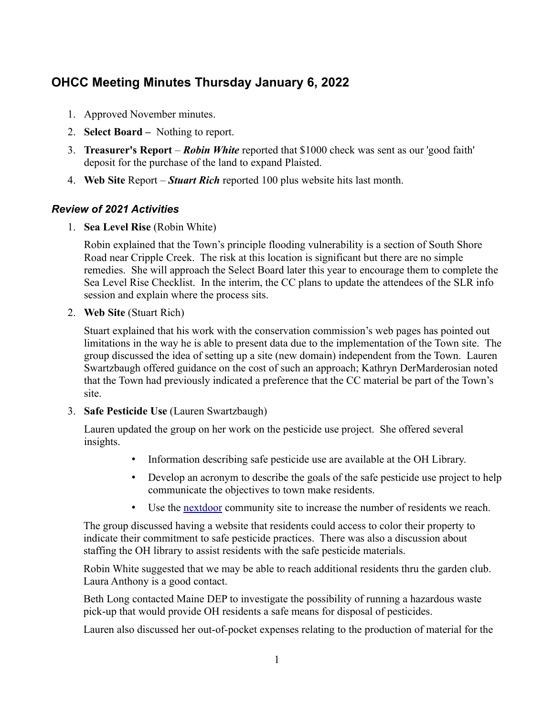# **OHCC Meeting Minutes Thursday January 6, 2022**

- 1. Approved November minutes.
- 2. **Select Board** Nothing to report.
- 3. **Treasurer's Report** *Robin White* reported that \$1000 check was sent as our 'good faith' deposit for the purchase of the land to expand Plaisted.
- 4. **Web Site** Report *Stuart Rich* reported 100 plus website hits last month.

# *Review of 2021 Activities*

1. **Sea Level Rise** (Robin White)

Robin explained that the Town's principle flooding vulnerability is a section of South Shore Road near Cripple Creek. The risk at this location is significant but there are no simple remedies. She will approach the Select Board later this year to encourage them to complete the Sea Level Rise Checklist. In the interim, the CC plans to update the attendees of the SLR info session and explain where the process sits.

2. **Web Site** (Stuart Rich)

Stuart explained that his work with the conservation commission's web pages has pointed out limitations in the way he is able to present data due to the implementation of the Town site. The group discussed the idea of setting up a site (new domain) independent from the Town. Lauren Swartzbaugh offered guidance on the cost of such an approach; Kathryn DerMarderosian noted that the Town had previously indicated a preference that the CC material be part of the Town's site.

3. **Safe Pesticide Use** (Lauren Swartzbaugh)

Lauren updated the group on her work on the pesticide use project. She offered several insights.

- Information describing safe pesticide use are available at the OH Library.
- Develop an acronym to describe the goals of the safe pesticide use project to help communicate the objectives to town make residents.
- Use the [nextdoor](https://nextdoor.com/) community site to increase the number of residents we reach.

The group discussed having a website that residents could access to color their property to indicate their commitment to safe pesticide practices. There was also a discussion about staffing the OH library to assist residents with the safe pesticide materials.

Robin White suggested that we may be able to reach additional residents thru the garden club. Laura Anthony is a good contact.

Beth Long contacted Maine DEP to investigate the possibility of running a hazardous waste pick-up that would provide OH residents a safe means for disposal of pesticides.

Lauren also discussed her out-of-pocket expenses relating to the production of material for the